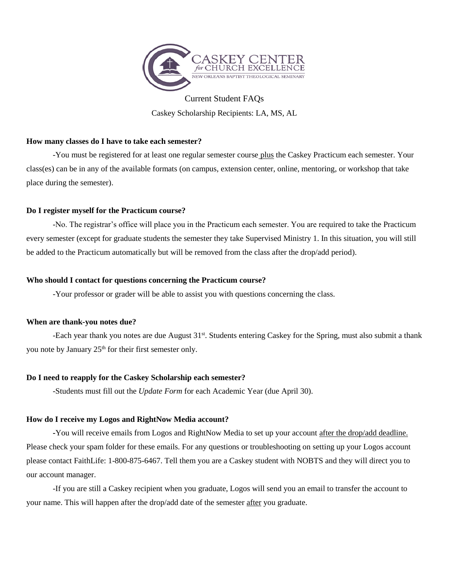

Current Student FAQs Caskey Scholarship Recipients: LA, MS, AL

# **How many classes do I have to take each semester?**

-You must be registered for at least one regular semester course plus the Caskey Practicum each semester. Your class(es) can be in any of the available formats (on campus, extension center, online, mentoring, or workshop that take place during the semester).

## **Do I register myself for the Practicum course?**

-No. The registrar's office will place you in the Practicum each semester. You are required to take the Practicum every semester (except for graduate students the semester they take Supervised Ministry 1. In this situation, you will still be added to the Practicum automatically but will be removed from the class after the drop/add period).

## **Who should I contact for questions concerning the Practicum course?**

-Your professor or grader will be able to assist you with questions concerning the class.

## **When are thank-you notes due?**

-Each year thank you notes are due August 31<sup>st</sup>. Students entering Caskey for the Spring, must also submit a thank you note by January 25<sup>th</sup> for their first semester only.

## **Do I need to reapply for the Caskey Scholarship each semester?**

-Students must fill out the *Update Form* for each Academic Year (due April 30).

# **How do I receive my Logos and RightNow Media account?**

**-**You will receive emails from Logos and RightNow Media to set up your account after the drop/add deadline. Please check your spam folder for these emails. For any questions or troubleshooting on setting up your Logos account please contact FaithLife: 1-800-875-6467. Tell them you are a Caskey student with NOBTS and they will direct you to our account manager.

-If you are still a Caskey recipient when you graduate, Logos will send you an email to transfer the account to your name. This will happen after the drop/add date of the semester after you graduate.